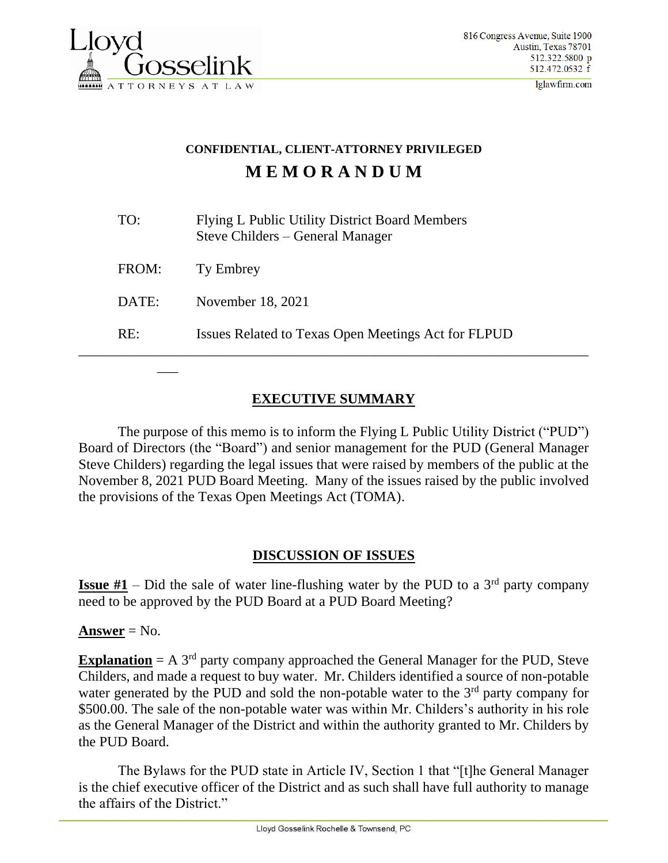

 $\overline{\phantom{a}}$ 

lglawfirm.com

# **CONFIDENTIAL, CLIENT-ATTORNEY PRIVILEGED M E M O R A N D U M**

| TO:   | <b>Flying L Public Utility District Board Members</b><br>Steve Childers – General Manager |
|-------|-------------------------------------------------------------------------------------------|
| FROM: | Ty Embrey                                                                                 |
| DATE: | November 18, 2021                                                                         |
| RE:   | Issues Related to Texas Open Meetings Act for FLPUD                                       |

## **EXECUTIVE SUMMARY**

The purpose of this memo is to inform the Flying L Public Utility District ("PUD") Board of Directors (the "Board") and senior management for the PUD (General Manager Steve Childers) regarding the legal issues that were raised by members of the public at the November 8, 2021 PUD Board Meeting. Many of the issues raised by the public involved the provisions of the Texas Open Meetings Act (TOMA).

#### **DISCUSSION OF ISSUES**

**Issue**  $#1$  – Did the sale of water line-flushing water by the PUD to a 3<sup>rd</sup> party company need to be approved by the PUD Board at a PUD Board Meeting?

#### $$

**Explanation** = A  $3<sup>rd</sup>$  party company approached the General Manager for the PUD, Steve Childers, and made a request to buy water. Mr. Childers identified a source of non-potable water generated by the PUD and sold the non-potable water to the  $3<sup>rd</sup>$  party company for \$500.00. The sale of the non-potable water was within Mr. Childers's authority in his role as the General Manager of the District and within the authority granted to Mr. Childers by the PUD Board.

The Bylaws for the PUD state in Article IV, Section 1 that "[t]he General Manager is the chief executive officer of the District and as such shall have full authority to manage the affairs of the District."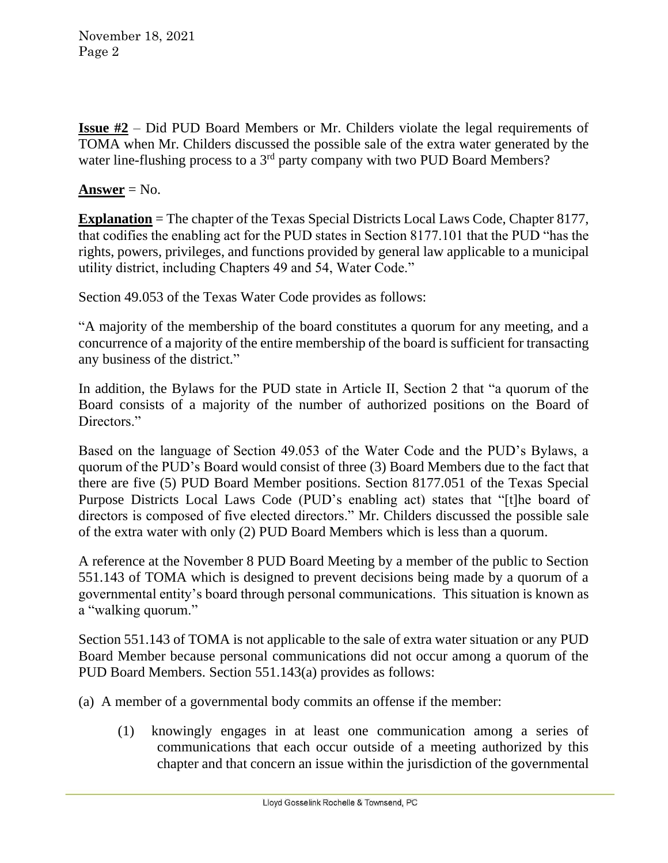**Issue #2** – Did PUD Board Members or Mr. Childers violate the legal requirements of TOMA when Mr. Childers discussed the possible sale of the extra water generated by the water line-flushing process to a 3<sup>rd</sup> party company with two PUD Board Members?

### $$

**Explanation** = The chapter of the Texas Special Districts Local Laws Code, Chapter 8177, that codifies the enabling act for the PUD states in Section 8177.101 that the PUD "has the rights, powers, privileges, and functions provided by general law applicable to a municipal utility district, including Chapters 49 and 54, Water Code."

Section 49.053 of the Texas Water Code provides as follows:

"A majority of the membership of the board constitutes a quorum for any meeting, and a concurrence of a majority of the entire membership of the board is sufficient for transacting any business of the district."

In addition, the Bylaws for the PUD state in Article II, Section 2 that "a quorum of the Board consists of a majority of the number of authorized positions on the Board of Directors."

Based on the language of Section 49.053 of the Water Code and the PUD's Bylaws, a quorum of the PUD's Board would consist of three (3) Board Members due to the fact that there are five (5) PUD Board Member positions. Section 8177.051 of the Texas Special Purpose Districts Local Laws Code (PUD's enabling act) states that "[t]he board of directors is composed of five elected directors." Mr. Childers discussed the possible sale of the extra water with only (2) PUD Board Members which is less than a quorum.

A reference at the November 8 PUD Board Meeting by a member of the public to Section 551.143 of TOMA which is designed to prevent decisions being made by a quorum of a governmental entity's board through personal communications. This situation is known as a "walking quorum."

Section 551.143 of TOMA is not applicable to the sale of extra water situation or any PUD Board Member because personal communications did not occur among a quorum of the PUD Board Members. Section 551.143(a) provides as follows:

(a) A member of a governmental body commits an offense if the member:

(1) knowingly engages in at least one communication among a series of communications that each occur outside of a meeting authorized by this chapter and that concern an issue within the jurisdiction of the governmental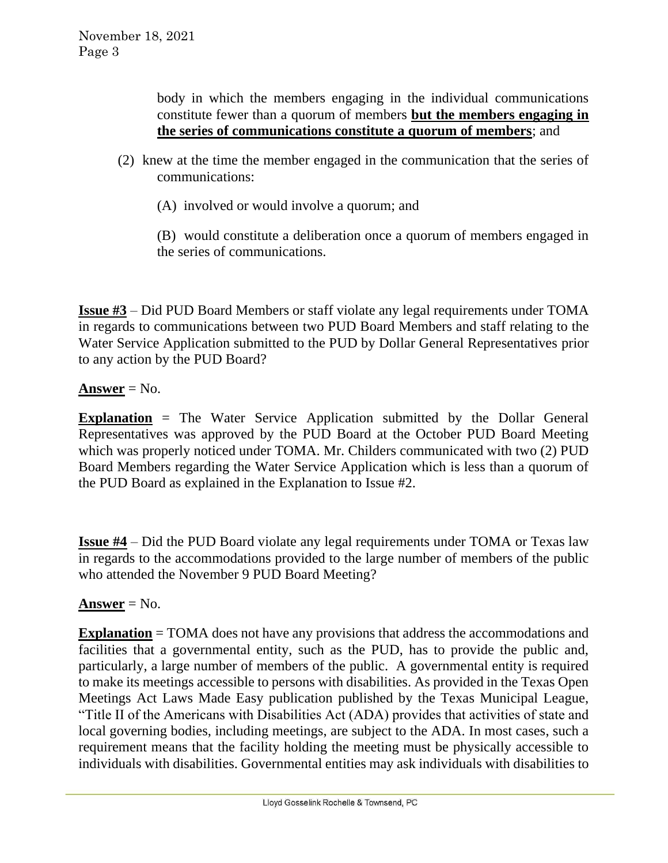body in which the members engaging in the individual communications constitute fewer than a quorum of members **but the members engaging in the series of communications constitute a quorum of members**; and

- (2) knew at the time the member engaged in the communication that the series of communications:
	- (A) involved or would involve a quorum; and
	- (B) would constitute a deliberation once a quorum of members engaged in the series of communications.

**Issue #3** – Did PUD Board Members or staff violate any legal requirements under TOMA in regards to communications between two PUD Board Members and staff relating to the Water Service Application submitted to the PUD by Dollar General Representatives prior to any action by the PUD Board?

## Answer  $=$  No.

**Explanation** = The Water Service Application submitted by the Dollar General Representatives was approved by the PUD Board at the October PUD Board Meeting which was properly noticed under TOMA. Mr. Childers communicated with two (2) PUD Board Members regarding the Water Service Application which is less than a quorum of the PUD Board as explained in the Explanation to Issue #2.

**Issue #4** – Did the PUD Board violate any legal requirements under TOMA or Texas law in regards to the accommodations provided to the large number of members of the public who attended the November 9 PUD Board Meeting?

#### $$

**Explanation** = TOMA does not have any provisions that address the accommodations and facilities that a governmental entity, such as the PUD, has to provide the public and, particularly, a large number of members of the public. A governmental entity is required to make its meetings accessible to persons with disabilities. As provided in the Texas Open Meetings Act Laws Made Easy publication published by the Texas Municipal League, "Title II of the Americans with Disabilities Act (ADA) provides that activities of state and local governing bodies, including meetings, are subject to the ADA. In most cases, such a requirement means that the facility holding the meeting must be physically accessible to individuals with disabilities. Governmental entities may ask individuals with disabilities to